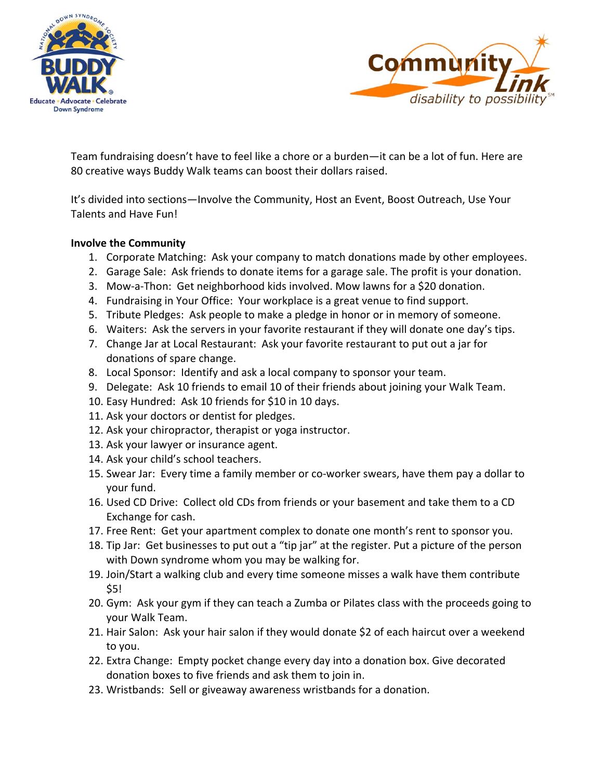



Team fundraising doesn't have to feel like a chore or a burden—it can be a lot of fun. Here are 80 creative ways Buddy Walk teams can boost their dollars raised.

It's divided into sections—Involve the Community, Host an Event, Boost Outreach, Use Your Talents and Have Fun!

## **Involve the Community**

- 1. Corporate Matching: Ask your company to match donations made by other employees.
- 2. Garage Sale: Ask friends to donate items for a garage sale. The profit is your donation.
- 3. Mow-a-Thon: Get neighborhood kids involved. Mow lawns for a \$20 donation.
- 4. Fundraising in Your Office: Your workplace is a great venue to find support.
- 5. Tribute Pledges: Ask people to make a pledge in honor or in memory of someone.
- 6. Waiters: Ask the servers in your favorite restaurant if they will donate one day's tips.
- 7. Change Jar at Local Restaurant: Ask your favorite restaurant to put out a jar for donations of spare change.
- 8. Local Sponsor: Identify and ask a local company to sponsor your team.
- 9. Delegate: Ask 10 friends to email 10 of their friends about joining your Walk Team.
- 10. Easy Hundred: Ask 10 friends for \$10 in 10 days.
- 11. Ask your doctors or dentist for pledges.
- 12. Ask your chiropractor, therapist or yoga instructor.
- 13. Ask your lawyer or insurance agent.
- 14. Ask your child's school teachers.
- 15. Swear Jar: Every time a family member or co-worker swears, have them pay a dollar to your fund.
- 16. Used CD Drive: Collect old CDs from friends or your basement and take them to a CD Exchange for cash.
- 17. Free Rent: Get your apartment complex to donate one month's rent to sponsor you.
- 18. Tip Jar: Get businesses to put out a "tip jar" at the register. Put a picture of the person with Down syndrome whom you may be walking for.
- 19. Join/Start a walking club and every time someone misses a walk have them contribute \$5!
- 20. Gym: Ask your gym if they can teach a Zumba or Pilates class with the proceeds going to your Walk Team.
- 21. Hair Salon: Ask your hair salon if they would donate \$2 of each haircut over a weekend to you.
- 22. Extra Change: Empty pocket change every day into a donation box. Give decorated donation boxes to five friends and ask them to join in.
- 23. Wristbands: Sell or giveaway awareness wristbands for a donation.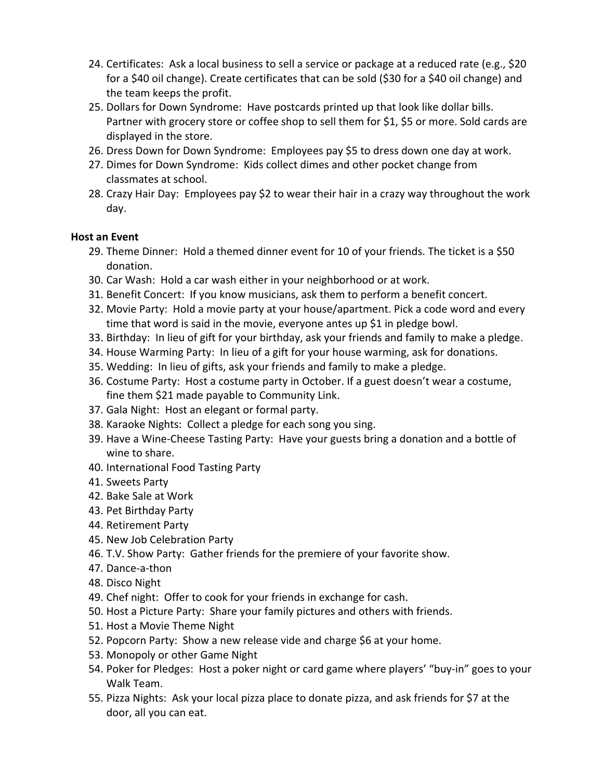- 24. Certificates: Ask a local business to sell a service or package at a reduced rate (e.g., \$20 for a \$40 oil change). Create certificates that can be sold (\$30 for a \$40 oil change) and the team keeps the profit.
- 25. Dollars for Down Syndrome: Have postcards printed up that look like dollar bills. Partner with grocery store or coffee shop to sell them for \$1, \$5 or more. Sold cards are displayed in the store.
- 26. Dress Down for Down Syndrome: Employees pay \$5 to dress down one day at work.
- 27. Dimes for Down Syndrome: Kids collect dimes and other pocket change from classmates at school.
- 28. Crazy Hair Day: Employees pay \$2 to wear their hair in a crazy way throughout the work day.

## **Host an Event**

- 29. Theme Dinner: Hold a themed dinner event for 10 of your friends. The ticket is a \$50 donation.
- 30. Car Wash: Hold a car wash either in your neighborhood or at work.
- 31. Benefit Concert: If you know musicians, ask them to perform a benefit concert.
- 32. Movie Party: Hold a movie party at your house/apartment. Pick a code word and every time that word is said in the movie, everyone antes up \$1 in pledge bowl.
- 33. Birthday: In lieu of gift for your birthday, ask your friends and family to make a pledge.
- 34. House Warming Party: In lieu of a gift for your house warming, ask for donations.
- 35. Wedding: In lieu of gifts, ask your friends and family to make a pledge.
- 36. Costume Party: Host a costume party in October. If a guest doesn't wear a costume, fine them \$21 made payable to Community Link.
- 37. Gala Night: Host an elegant or formal party.
- 38. Karaoke Nights: Collect a pledge for each song you sing.
- 39. Have a Wine‐Cheese Tasting Party: Have your guests bring a donation and a bottle of wine to share.
- 40. International Food Tasting Party
- 41. Sweets Party
- 42. Bake Sale at Work
- 43. Pet Birthday Party
- 44. Retirement Party
- 45. New Job Celebration Party
- 46. T.V. Show Party: Gather friends for the premiere of your favorite show.
- 47. Dance‐a‐thon
- 48. Disco Night
- 49. Chef night: Offer to cook for your friends in exchange for cash.
- 50. Host a Picture Party: Share your family pictures and others with friends.
- 51. Host a Movie Theme Night
- 52. Popcorn Party: Show a new release vide and charge \$6 at your home.
- 53. Monopoly or other Game Night
- 54. Poker for Pledges: Host a poker night or card game where players' "buy-in" goes to your Walk Team.
- 55. Pizza Nights: Ask your local pizza place to donate pizza, and ask friends for \$7 at the door, all you can eat.